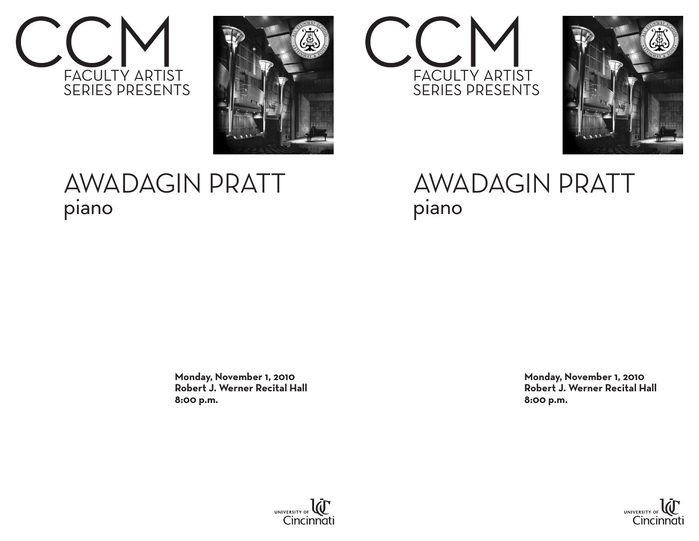



## AWADAGIN PRATT piano

 **Monday, November 1, 2010 Robert J. Werner Recital Hall 8:00 p.m.**